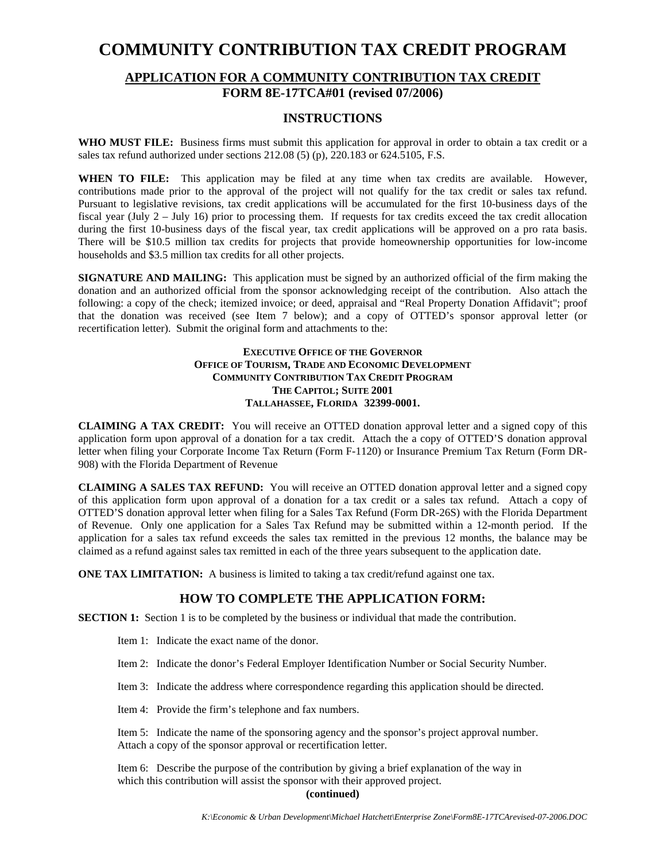## **COMMUNITY CONTRIBUTION TAX CREDIT PROGRAM**

# **APPLICATION FOR A COMMUNITY CONTRIBUTION TAX CREDIT**

## **FORM 8E-17TCA#01 (revised 07/2006)**

#### **INSTRUCTIONS**

**WHO MUST FILE:** Business firms must submit this application for approval in order to obtain a tax credit or a sales tax refund authorized under sections 212.08 (5) (p), 220.183 or 624.5105, F.S.

**WHEN TO FILE:** This application may be filed at any time when tax credits are available. However, contributions made prior to the approval of the project will not qualify for the tax credit or sales tax refund. Pursuant to legislative revisions, tax credit applications will be accumulated for the first 10-business days of the fiscal year (July 2 – July 16) prior to processing them. If requests for tax credits exceed the tax credit allocation during the first 10-business days of the fiscal year, tax credit applications will be approved on a pro rata basis. There will be \$10.5 million tax credits for projects that provide homeownership opportunities for low-income households and \$3.5 million tax credits for all other projects.

**SIGNATURE AND MAILING:** This application must be signed by an authorized official of the firm making the donation and an authorized official from the sponsor acknowledging receipt of the contribution. Also attach the following: a copy of the check; itemized invoice; or deed, appraisal and "Real Property Donation Affidavit"; proof that the donation was received (see Item 7 below); and a copy of OTTED's sponsor approval letter (or recertification letter). Submit the original form and attachments to the:

#### **EXECUTIVE OFFICE OF THE GOVERNOR OFFICE OF TOURISM, TRADE AND ECONOMIC DEVELOPMENT COMMUNITY CONTRIBUTION TAX CREDIT PROGRAM THE CAPITOL; SUITE 2001 TALLAHASSEE, FLORIDA 32399-0001.**

**CLAIMING A TAX CREDIT:** You will receive an OTTED donation approval letter and a signed copy of this application form upon approval of a donation for a tax credit. Attach the a copy of OTTED'S donation approval letter when filing your Corporate Income Tax Return (Form F-1120) or Insurance Premium Tax Return (Form DR-908) with the Florida Department of Revenue

**CLAIMING A SALES TAX REFUND:** You will receive an OTTED donation approval letter and a signed copy of this application form upon approval of a donation for a tax credit or a sales tax refund. Attach a copy of OTTED'S donation approval letter when filing for a Sales Tax Refund (Form DR-26S) with the Florida Department of Revenue. Only one application for a Sales Tax Refund may be submitted within a 12-month period. If the application for a sales tax refund exceeds the sales tax remitted in the previous 12 months, the balance may be claimed as a refund against sales tax remitted in each of the three years subsequent to the application date.

**ONE TAX LIMITATION:** A business is limited to taking a tax credit/refund against one tax.

### **HOW TO COMPLETE THE APPLICATION FORM:**

**SECTION 1:** Section 1 is to be completed by the business or individual that made the contribution.

- Item 1: Indicate the exact name of the donor.
- Item 2: Indicate the donor's Federal Employer Identification Number or Social Security Number.
- Item 3: Indicate the address where correspondence regarding this application should be directed.
- Item 4: Provide the firm's telephone and fax numbers.

Item 5: Indicate the name of the sponsoring agency and the sponsor's project approval number. Attach a copy of the sponsor approval or recertification letter.

Item 6: Describe the purpose of the contribution by giving a brief explanation of the way in which this contribution will assist the sponsor with their approved project.

#### **(continued)**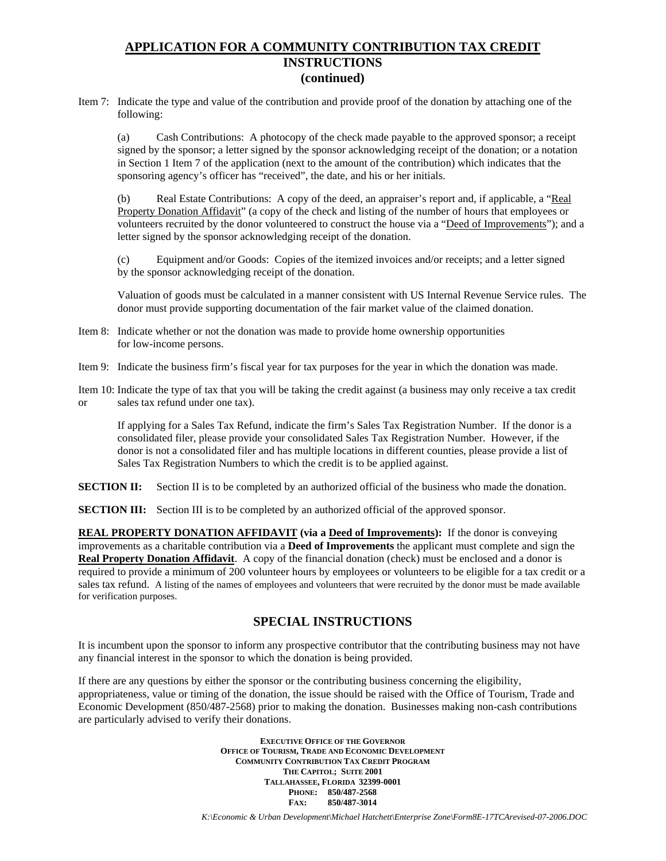### **APPLICATION FOR A COMMUNITY CONTRIBUTION TAX CREDIT INSTRUCTIONS (continued)**

Item 7: Indicate the type and value of the contribution and provide proof of the donation by attaching one of the following:

(a) Cash Contributions: A photocopy of the check made payable to the approved sponsor; a receipt signed by the sponsor; a letter signed by the sponsor acknowledging receipt of the donation; or a notation in Section 1 Item 7 of the application (next to the amount of the contribution) which indicates that the sponsoring agency's officer has "received", the date, and his or her initials.

(b) Real Estate Contributions: A copy of the deed, an appraiser's report and, if applicable, a "Real Property Donation Affidavit" (a copy of the check and listing of the number of hours that employees or volunteers recruited by the donor volunteered to construct the house via a "Deed of Improvements"); and a letter signed by the sponsor acknowledging receipt of the donation.

(c) Equipment and/or Goods: Copies of the itemized invoices and/or receipts; and a letter signed by the sponsor acknowledging receipt of the donation.

Valuation of goods must be calculated in a manner consistent with US Internal Revenue Service rules. The donor must provide supporting documentation of the fair market value of the claimed donation.

- Item 8: Indicate whether or not the donation was made to provide home ownership opportunities for low-income persons.
- Item 9: Indicate the business firm's fiscal year for tax purposes for the year in which the donation was made.
- Item 10: Indicate the type of tax that you will be taking the credit against (a business may only receive a tax credit or sales tax refund under one tax).

If applying for a Sales Tax Refund, indicate the firm's Sales Tax Registration Number. If the donor is a consolidated filer, please provide your consolidated Sales Tax Registration Number. However, if the donor is not a consolidated filer and has multiple locations in different counties, please provide a list of Sales Tax Registration Numbers to which the credit is to be applied against.

**SECTION II:** Section II is to be completed by an authorized official of the business who made the donation.

**SECTION III:** Section III is to be completed by an authorized official of the approved sponsor.

**REAL PROPERTY DONATION AFFIDAVIT (via a Deed of Improvements):** If the donor is conveying improvements as a charitable contribution via a **Deed of Improvements** the applicant must complete and sign the **Real Property Donation Affidavit**. A copy of the financial donation (check) must be enclosed and a donor is required to provide a minimum of 200 volunteer hours by employees or volunteers to be eligible for a tax credit or a sales tax refund. A listing of the names of employees and volunteers that were recruited by the donor must be made available for verification purposes.

### **SPECIAL INSTRUCTIONS**

It is incumbent upon the sponsor to inform any prospective contributor that the contributing business may not have any financial interest in the sponsor to which the donation is being provided.

If there are any questions by either the sponsor or the contributing business concerning the eligibility, appropriateness, value or timing of the donation, the issue should be raised with the Office of Tourism, Trade and Economic Development (850/487-2568) prior to making the donation. Businesses making non-cash contributions are particularly advised to verify their donations.

> **EXECUTIVE OFFICE OF THE GOVERNOR OFFICE OF TOURISM, TRADE AND ECONOMIC DEVELOPMENT COMMUNITY CONTRIBUTION TAX CREDIT PROGRAM THE CAPITOL; SUITE 2001 TALLAHASSEE, FLORIDA 32399-0001 PHONE: 850/487-2568 FAX: 850/487-3014**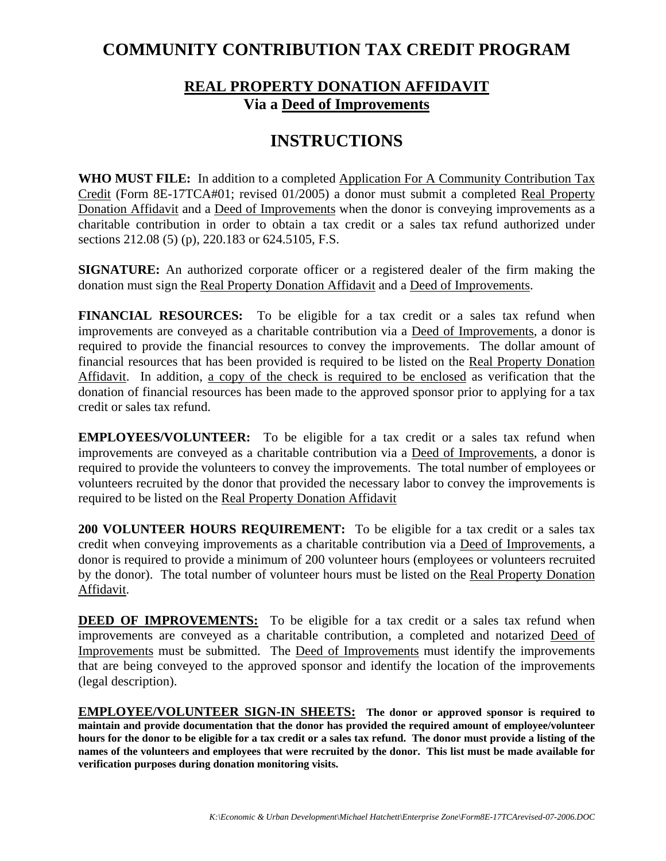## **COMMUNITY CONTRIBUTION TAX CREDIT PROGRAM**

## **REAL PROPERTY DONATION AFFIDAVIT Via a Deed of Improvements**

# **INSTRUCTIONS**

**WHO MUST FILE:** In addition to a completed Application For A Community Contribution Tax Credit (Form 8E-17TCA#01; revised 01/2005) a donor must submit a completed Real Property Donation Affidavit and a Deed of Improvements when the donor is conveying improvements as a charitable contribution in order to obtain a tax credit or a sales tax refund authorized under sections 212.08 (5) (p), 220.183 or 624.5105, F.S.

**SIGNATURE:** An authorized corporate officer or a registered dealer of the firm making the donation must sign the Real Property Donation Affidavit and a Deed of Improvements.

**FINANCIAL RESOURCES:** To be eligible for a tax credit or a sales tax refund when improvements are conveyed as a charitable contribution via a Deed of Improvements, a donor is required to provide the financial resources to convey the improvements. The dollar amount of financial resources that has been provided is required to be listed on the Real Property Donation Affidavit. In addition, a copy of the check is required to be enclosed as verification that the donation of financial resources has been made to the approved sponsor prior to applying for a tax credit or sales tax refund.

**EMPLOYEES/VOLUNTEER:** To be eligible for a tax credit or a sales tax refund when improvements are conveyed as a charitable contribution via a Deed of Improvements, a donor is required to provide the volunteers to convey the improvements. The total number of employees or volunteers recruited by the donor that provided the necessary labor to convey the improvements is required to be listed on the Real Property Donation Affidavit

**200 VOLUNTEER HOURS REQUIREMENT:** To be eligible for a tax credit or a sales tax credit when conveying improvements as a charitable contribution via a Deed of Improvements, a donor is required to provide a minimum of 200 volunteer hours (employees or volunteers recruited by the donor). The total number of volunteer hours must be listed on the Real Property Donation Affidavit.

**DEED OF IMPROVEMENTS:** To be eligible for a tax credit or a sales tax refund when improvements are conveyed as a charitable contribution, a completed and notarized Deed of Improvements must be submitted. The Deed of Improvements must identify the improvements that are being conveyed to the approved sponsor and identify the location of the improvements (legal description).

**EMPLOYEE/VOLUNTEER SIGN-IN SHEETS: The donor or approved sponsor is required to maintain and provide documentation that the donor has provided the required amount of employee/volunteer hours for the donor to be eligible for a tax credit or a sales tax refund. The donor must provide a listing of the names of the volunteers and employees that were recruited by the donor. This list must be made available for verification purposes during donation monitoring visits.**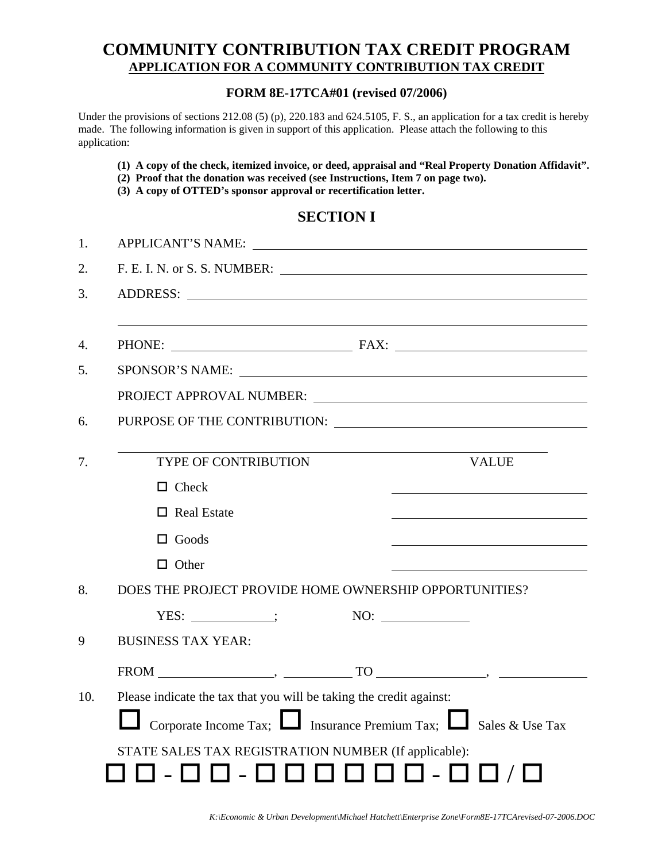## **COMMUNITY CONTRIBUTION TAX CREDIT PROGRAM APPLICATION FOR A COMMUNITY CONTRIBUTION TAX CREDIT**

#### **FORM 8E-17TCA#01 (revised 07/2006)**

Under the provisions of sections 212.08 (5) (p), 220.183 and 624.5105, F. S., an application for a tax credit is hereby made. The following information is given in support of this application. Please attach the following to this application:

- **(1) A copy of the check, itemized invoice, or deed, appraisal and "Real Property Donation Affidavit".**
- **(2) Proof that the donation was received (see Instructions, Item 7 on page two).**
- **(3) A copy of OTTED's sponsor approval or recertification letter.**

## **SECTION I**

| 1.  | APPLICANT'S NAME:                                                          |  |  |
|-----|----------------------------------------------------------------------------|--|--|
| 2.  |                                                                            |  |  |
| 3.  | ADDRESS: New York Contract of the ADDRESS:                                 |  |  |
|     |                                                                            |  |  |
| 4.  |                                                                            |  |  |
| 5.  | SPONSOR'S NAME:                                                            |  |  |
|     |                                                                            |  |  |
| 6.  | PURPOSE OF THE CONTRIBUTION:                                               |  |  |
|     |                                                                            |  |  |
| 7.  | <b>TYPE OF CONTRIBUTION</b><br><b>VALUE</b>                                |  |  |
|     | $\Box$ Check                                                               |  |  |
|     | $\Box$ Real Estate                                                         |  |  |
|     | $\Box$ Goods                                                               |  |  |
|     | $\Box$ Other                                                               |  |  |
| 8.  | DOES THE PROJECT PROVIDE HOME OWNERSHIP OPPORTUNITIES?                     |  |  |
|     | $YES:$ $\qquad \qquad$                                                     |  |  |
| 9   | <b>BUSINESS TAX YEAR:</b>                                                  |  |  |
|     |                                                                            |  |  |
| 10. | Please indicate the tax that you will be taking the credit against:        |  |  |
|     | Corporate Income Tax; $\Box$ Insurance Premium Tax; $\Box$ Sales & Use Tax |  |  |
|     | STATE SALES TAX REGISTRATION NUMBER (If applicable):                       |  |  |
|     |                                                                            |  |  |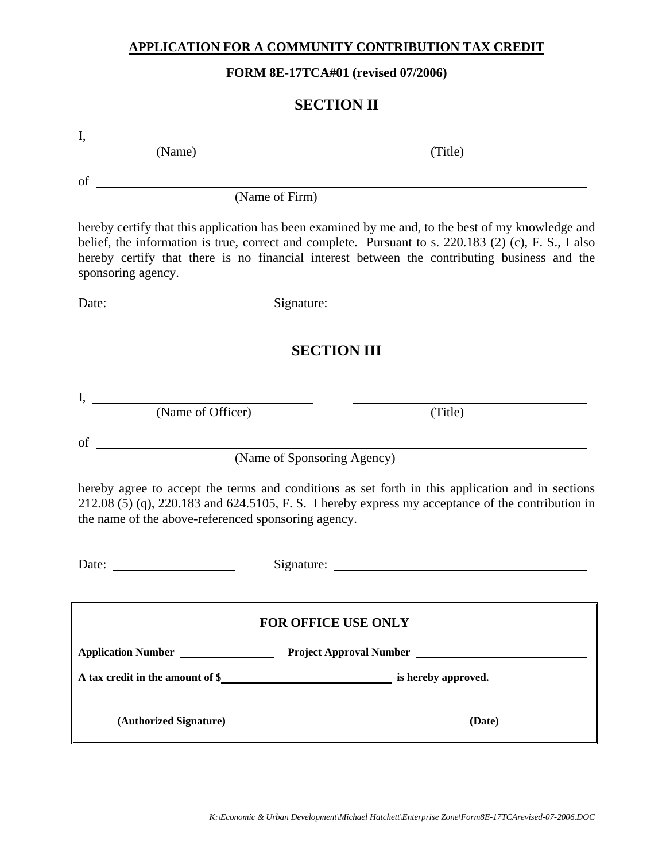### **APPLICATION FOR A COMMUNITY CONTRIBUTION TAX CREDIT**

**FORM 8E-17TCA#01 (revised 07/2006)**

| <b>SECTION II</b>                                   |                                                                                                                                                                                                                                                                                                           |  |  |
|-----------------------------------------------------|-----------------------------------------------------------------------------------------------------------------------------------------------------------------------------------------------------------------------------------------------------------------------------------------------------------|--|--|
|                                                     |                                                                                                                                                                                                                                                                                                           |  |  |
| I, $\frac{\phantom{+}}{\phantom{+}}$ (Name)         | (Title)                                                                                                                                                                                                                                                                                                   |  |  |
| of $\qquad \qquad$                                  |                                                                                                                                                                                                                                                                                                           |  |  |
|                                                     | (Name of Firm)                                                                                                                                                                                                                                                                                            |  |  |
| sponsoring agency.                                  | hereby certify that this application has been examined by me and, to the best of my knowledge and<br>belief, the information is true, correct and complete. Pursuant to s. 220.183 (2) (c), F. S., I also<br>hereby certify that there is no financial interest between the contributing business and the |  |  |
|                                                     |                                                                                                                                                                                                                                                                                                           |  |  |
|                                                     |                                                                                                                                                                                                                                                                                                           |  |  |
|                                                     | <b>SECTION III</b>                                                                                                                                                                                                                                                                                        |  |  |
|                                                     |                                                                                                                                                                                                                                                                                                           |  |  |
| (Name of Officer)                                   | (Title)                                                                                                                                                                                                                                                                                                   |  |  |
|                                                     |                                                                                                                                                                                                                                                                                                           |  |  |
| of                                                  | (Name of Sponsoring Agency)                                                                                                                                                                                                                                                                               |  |  |
| the name of the above-referenced sponsoring agency. | hereby agree to accept the terms and conditions as set forth in this application and in sections<br>$212.08$ (5) (q), $220.183$ and $624.5105$ , F. S. I hereby express my acceptance of the contribution in                                                                                              |  |  |
| Date:                                               |                                                                                                                                                                                                                                                                                                           |  |  |
|                                                     | <b>FOR OFFICE USE ONLY</b>                                                                                                                                                                                                                                                                                |  |  |
|                                                     |                                                                                                                                                                                                                                                                                                           |  |  |
| Application Number                                  | Project Approval Number                                                                                                                                                                                                                                                                                   |  |  |
|                                                     |                                                                                                                                                                                                                                                                                                           |  |  |
| (Authorized Signature)                              | (Date)                                                                                                                                                                                                                                                                                                    |  |  |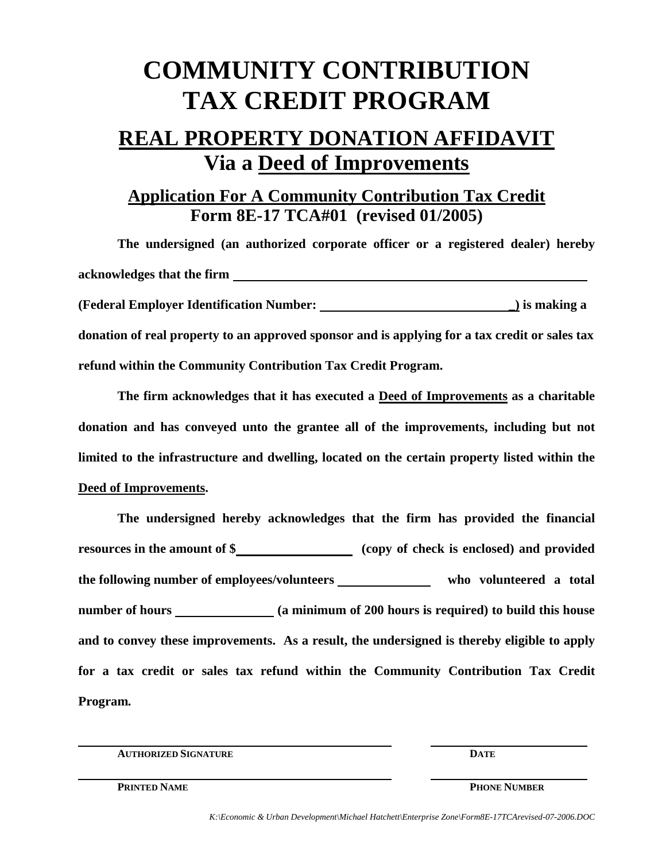# **COMMUNITY CONTRIBUTION TAX CREDIT PROGRAM**

# **REAL PROPERTY DONATION AFFIDAVIT Via a Deed of Improvements**

## **Application For A Community Contribution Tax Credit Form 8E-17 TCA#01 (revised 01/2005)**

**The undersigned (an authorized corporate officer or a registered dealer) hereby acknowledges that the firm (Federal Employer Identification Number: \_) is making a donation of real property to an approved sponsor and is applying for a tax credit or sales tax refund within the Community Contribution Tax Credit Program.**

**The firm acknowledges that it has executed a Deed of Improvements as a charitable donation and has conveyed unto the grantee all of the improvements, including but not limited to the infrastructure and dwelling, located on the certain property listed within the Deed of Improvements.**

**The undersigned hereby acknowledges that the firm has provided the financial resources in the amount of \$** (copy of check is enclosed) and provided the following number of employees/volunteers who volunteered a total **number of hours (a minimum of 200 hours is required) to build this house and to convey these improvements. As a result, the undersigned is thereby eligible to apply for a tax credit or sales tax refund within the Community Contribution Tax Credit Program***.*

**AUTHORIZED SIGNATURE DATE**

**PRINTED NAME PHONE NUMBER**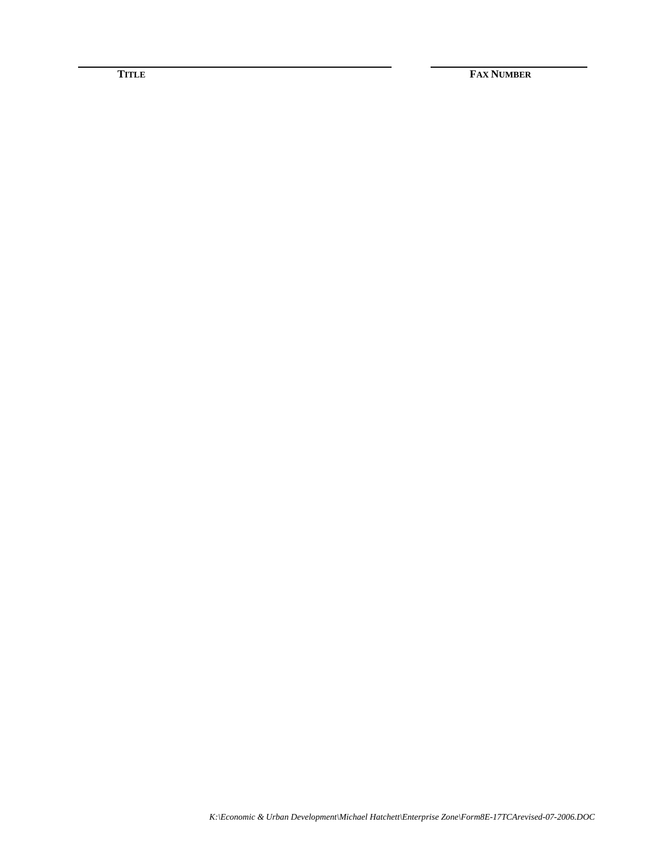**TITLE FAX NUMBER**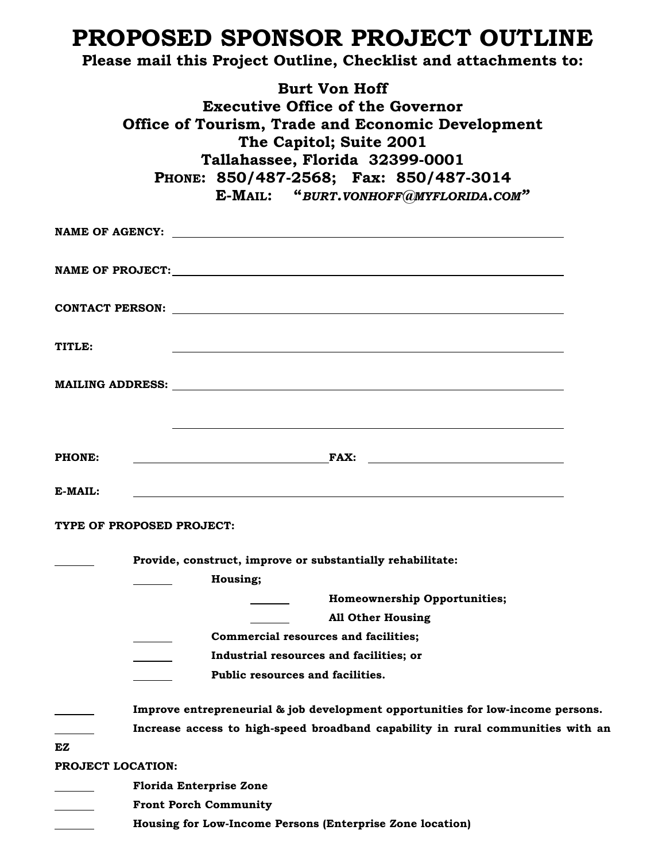# **PROPOSED SPONSOR PROJECT OUTLINE**

## **Please mail this Project Outline, Checklist and attachments to:**

**Burt Von Hoff Executive Office of the Governor Office of Tourism, Trade and Economic Development The Capitol; Suite 2001 Tallahassee, Florida 32399-0001 PHONE: 850/487-2568; Fax: 850/487-3014 E-MAIL: "***BURT.VONHOFF@MYFLORIDA.COM"*

|                   | CONTACT PERSON: New York CONTACT PERSON:                                                            |
|-------------------|-----------------------------------------------------------------------------------------------------|
| TITLE:            |                                                                                                     |
|                   |                                                                                                     |
| <b>PHONE:</b>     |                                                                                                     |
| E-MAIL:           |                                                                                                     |
|                   | TYPE OF PROPOSED PROJECT:<br>Provide, construct, improve or substantially rehabilitate:<br>Housing; |
|                   | <b>Homeownership Opportunities;</b>                                                                 |
|                   | <b>All Other Housing</b><br><b>Commercial resources and facilities;</b>                             |
|                   | Industrial resources and facilities; or                                                             |
|                   | Public resources and facilities.                                                                    |
|                   | Improve entrepreneurial & job development opportunities for low-income persons.                     |
|                   | Increase access to high-speed broadband capability in rural communities with an                     |
| EZ                |                                                                                                     |
| PROJECT LOCATION: |                                                                                                     |
|                   | <b>Florida Enterprise Zone</b>                                                                      |
|                   | <b>Front Porch Community</b>                                                                        |
|                   | Housing for Low-Income Persons (Enterprise Zone location)                                           |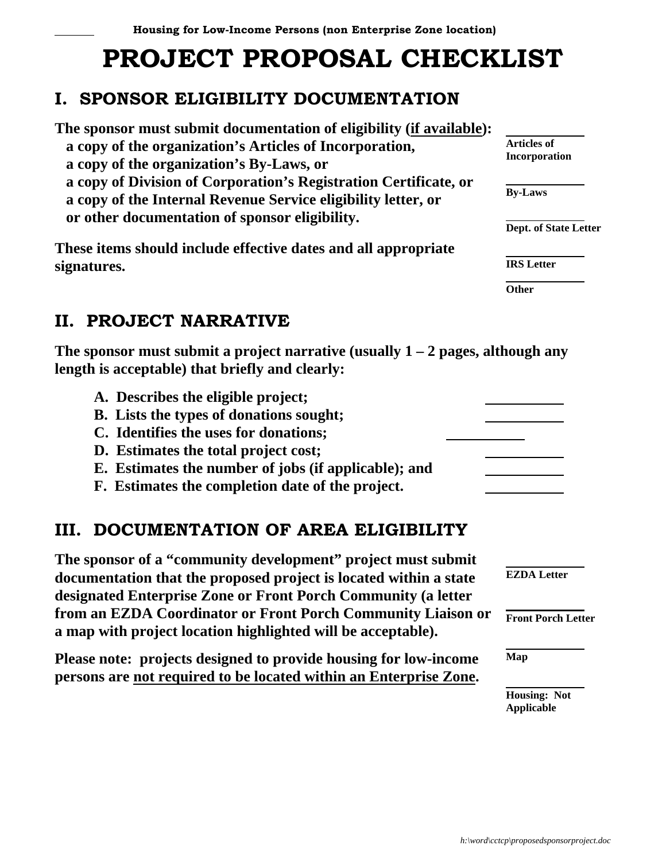# **PROJECT PROPOSAL CHECKLIST**

# **I. SPONSOR ELIGIBILITY DOCUMENTATION**

**The sponsor must submit documentation of eligibility (if available): a copy of the organization's Articles of Incorporation, a copy of the organization's By-Laws, or a copy of Division of Corporation's Registration Certificate, or a copy of the Internal Revenue Service eligibility letter, or or other documentation of sponsor eligibility.**

**These items should include effective dates and all appropriate signatures.**

# **II. PROJECT NARRATIVE**

**The sponsor must submit a project narrative (usually 1 – 2 pages, although any length is acceptable) that briefly and clearly:**

- **A. Describes the eligible project;**
- **B. Lists the types of donations sought;**
- **C. Identifies the uses for donations;**
- **D. Estimates the total project cost;**
- **E. Estimates the number of jobs (if applicable); and**
- **F. Estimates the completion date of the project.**

## **III. DOCUMENTATION OF AREA ELIGIBILITY**

**The sponsor of a "community development" project must submit documentation that the proposed project is located within a state designated Enterprise Zone or Front Porch Community (a letter from an EZDA Coordinator or Front Porch Community Liaison or a map with project location highlighted will be acceptable).**

**Please note: projects designed to provide housing for low-income persons are not required to be located within an Enterprise Zone.**

 **Articles of Incorporation**

 **By-Laws**

 **Dept. of State Letter**

 **IRS Letter**

 **Other**

 **EZDA Letter**

 **Front Porch Letter**

 **Map**

 **Housing: Not Applicable**